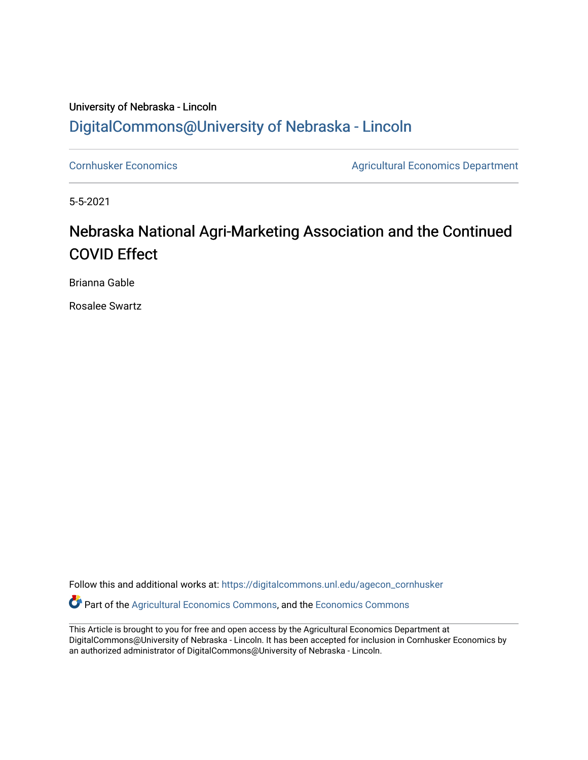## University of Nebraska - Lincoln [DigitalCommons@University of Nebraska - Lincoln](https://digitalcommons.unl.edu/)

[Cornhusker Economics](https://digitalcommons.unl.edu/agecon_cornhusker) **Agricultural Economics** Department

5-5-2021

## Nebraska National Agri-Marketing Association and the Continued COVID Effect

Brianna Gable

Rosalee Swartz

Follow this and additional works at: [https://digitalcommons.unl.edu/agecon\\_cornhusker](https://digitalcommons.unl.edu/agecon_cornhusker?utm_source=digitalcommons.unl.edu%2Fagecon_cornhusker%2F1103&utm_medium=PDF&utm_campaign=PDFCoverPages) 

Part of the [Agricultural Economics Commons,](http://network.bepress.com/hgg/discipline/1225?utm_source=digitalcommons.unl.edu%2Fagecon_cornhusker%2F1103&utm_medium=PDF&utm_campaign=PDFCoverPages) and the [Economics Commons](http://network.bepress.com/hgg/discipline/340?utm_source=digitalcommons.unl.edu%2Fagecon_cornhusker%2F1103&utm_medium=PDF&utm_campaign=PDFCoverPages) 

This Article is brought to you for free and open access by the Agricultural Economics Department at DigitalCommons@University of Nebraska - Lincoln. It has been accepted for inclusion in Cornhusker Economics by an authorized administrator of DigitalCommons@University of Nebraska - Lincoln.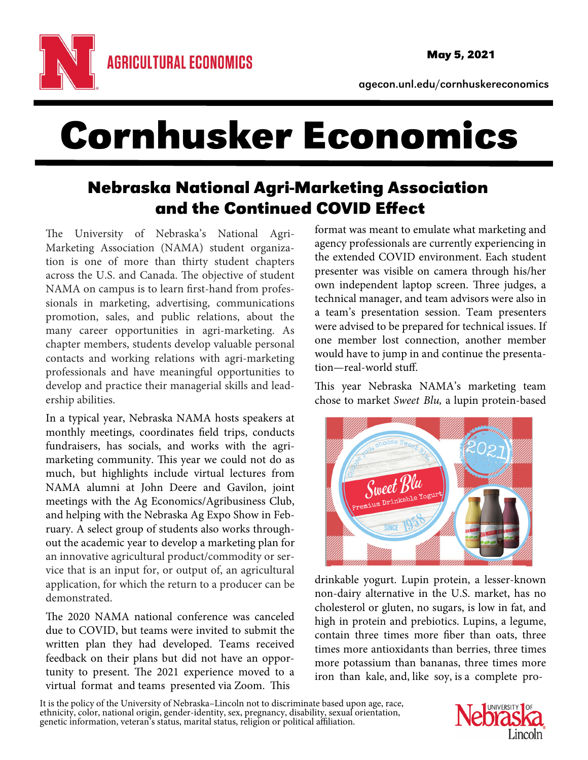

agecon.unl.edu/cornhuskereconomics

## Cornhusker Economics

## Nebraska National Agri-Marketing Association and the Continued COVID Effect

The University of Nebraska's National Agri-Marketing Association (NAMA) student organization is one of more than thirty student chapters across the U.S. and Canada. The objective of student NAMA on campus is to learn first-hand from professionals in marketing, advertising, communications promotion, sales, and public relations, about the many career opportunities in agri-marketing. As chapter members, students develop valuable personal contacts and working relations with agri-marketing professionals and have meaningful opportunities to develop and practice their managerial skills and leadership abilities.

In a typical year, Nebraska NAMA hosts speakers at monthly meetings, coordinates field trips, conducts fundraisers, has socials, and works with the agrimarketing community. This year we could not do as much, but highlights include virtual lectures from NAMA alumni at John Deere and Gavilon, joint meetings with the Ag Economics/Agribusiness Club, and helping with the Nebraska Ag Expo Show in February. A select group of students also works throughout the academic year to develop a marketing plan for an innovative agricultural product/commodity or service that is an input for, or output of, an agricultural application, for which the return to a producer can be demonstrated.

The 2020 NAMA national conference was canceled due to COVID, but teams were invited to submit the written plan they had developed. Teams received feedback on their plans but did not have an opportunity to present. The 2021 experience moved to a virtual format and teams presented via Zoom. This

format was meant to emulate what marketing and agency professionals are currently experiencing in the extended COVID environment. Each student presenter was visible on camera through his/her own independent laptop screen. Three judges, a technical manager, and team advisors were also in a team's presentation session. Team presenters were advised to be prepared for technical issues. If one member lost connection, another member would have to jump in and continue the presentation—real-world stuff.

This year Nebraska NAMA's marketing team chose to market Sweet Blu, a lupin protein-based



drinkable yogurt. Lupin protein, a lesser-known non-dairy alternative in the U.S. market, has no cholesterol or gluten, no sugars, is low in fat, and high in protein and prebiotics. Lupins, a legume, contain three times more fiber than oats, three times more antioxidants than berries, three times more potassium than bananas, three times more iron than kale, and, like soy, is a complete pro-

It is the policy of the University of Nebraska–Lincoln not to discriminate based upon age, race, ethnicity, color, national origin, gender-identity, sex, pregnancy, disability, sexual orientation, genetic information, vete